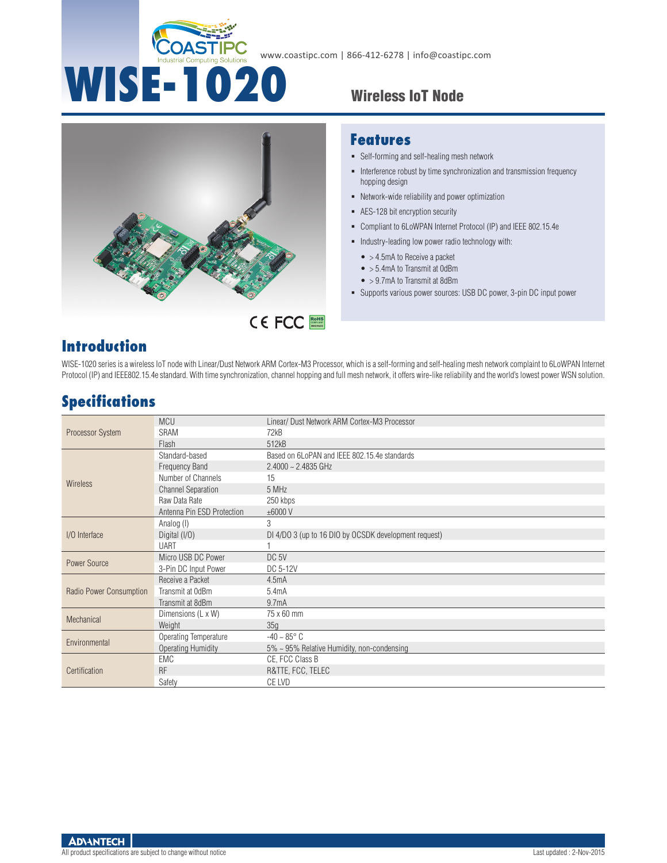



#### **Features**

- Self-forming and self-healing mesh network
- Interference robust by time synchronization and transmission frequency hopping design
- Network-wide reliability and power optimization
- AES-128 bit encryption security
- Compliant to 6LoWPAN Internet Protocol (IP) and IEEE 802.15.4e
- $\blacksquare$  Industry-leading low power radio technology with:
	- $\bullet$  > 4.5mA to Receive a packet
	- > 5.4mA to Transmit at 0dBm
	- $\bullet$  > 9.7mA to Transmit at 8dBm
- Supports various power sources: USB DC power, 3-pin DC input power

## **Introduction**

WISE-1020 series is a wireless IoT node with Linear/Dust Network ARM Cortex-M3 Processor, which is a self-forming and self-healing mesh network complaint to 6LoWPAN Internet Protocol (IP) and IEEE802.15.4e standard. With time synchronization, channel hopping and full mesh network, it offers wire-like reliability and the world's lowest power WSN solution.

## **Specifications**

| Processor System        | <b>MCU</b>                 | Linear/ Dust Network ARM Cortex-M3 Processor          |
|-------------------------|----------------------------|-------------------------------------------------------|
|                         | <b>SRAM</b>                | 72kB                                                  |
|                         | Flash                      | 512kB                                                 |
| <b>Wireless</b>         | Standard-based             | Based on 6LoPAN and IEEE 802.15.4e standards          |
|                         | <b>Frequency Band</b>      | $2.4000 - 2.4835$ GHz                                 |
|                         | Number of Channels         | 15                                                    |
|                         | <b>Channel Separation</b>  | 5 MHz                                                 |
|                         | Raw Data Rate              | 250 kbps                                              |
|                         | Antenna Pin ESD Protection | ±6000V                                                |
| I/O Interface           | Analog (I)                 | 3                                                     |
|                         | Digital (I/O)              | DI 4/DO 3 (up to 16 DIO by OCSDK development request) |
|                         | <b>UART</b>                |                                                       |
| Power Source            | Micro USB DC Power         | DC <sub>5V</sub>                                      |
|                         | 3-Pin DC Input Power       | DC 5-12V                                              |
| Radio Power Consumption | Receive a Packet           | 4.5mA                                                 |
|                         | Transmit at OdBm           | 5.4mA                                                 |
|                         | Transmit at 8dBm           | 9.7mA                                                 |
| Mechanical              | Dimensions (L x W)         | 75 x 60 mm                                            |
|                         | Weight                     | 35g                                                   |
| Environmental           | Operating Temperature      | $-40 \sim 85^{\circ}$ C                               |
|                         | <b>Operating Humidity</b>  | $5\% \sim 95\%$ Relative Humidity, non-condensing     |
| Certification           | EMC                        | CE, FCC Class B                                       |
|                         | <b>RF</b>                  | R&TTE, FCC, TELEC                                     |
|                         | Safety                     | CE LVD                                                |